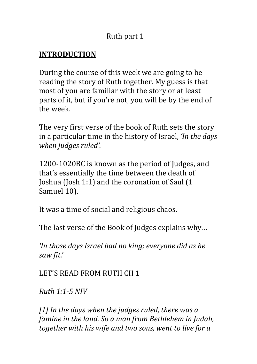### Ruth part 1

### **INTRODUCTION**

During the course of this week we are going to be reading the story of Ruth together. My guess is that most of you are familiar with the story or at least parts of it, but if you're not, you will be by the end of the week.

The very first verse of the book of Ruth sets the story in a particular time in the history of Israel, *'In the days when judges ruled'.*

1200-1020BC is known as the period of Judges, and that's essentially the time between the death of Joshua (Josh 1:1) and the coronation of Saul  $(1)$ Samuel 10).

It was a time of social and religious chaos.

The last verse of the Book of Judges explains why...

*'In those days Israel had no king; everyone did as he saw fit*.' 

LET'S READ FROM RUTH CH 1

*Ruth 1:1-5 NIV*

*[1] In the days when the judges ruled, there was a famine in the land.* So a man from Bethlehem in Judah, together with his wife and two sons, went to live for a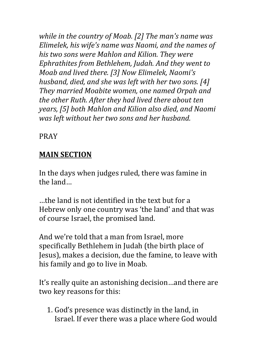*while in the country of Moab.* [2] The man's name was *Elimelek, his wife's name was Naomi, and the names of his* two sons were Mahlon and Kilion. They were *Ephrathites from Bethlehem, Judah. And they went to Moab and lived there.* [3] Now Elimelek, Naomi's *husband, died, and she was left with her two sons.* [4] They married Moabite women, one named Orpah and the other Ruth. After they had lived there about ten *years,* [5] both Mahlon and Kilion also died, and Naomi *was left without her two sons and her husband.* 

PRAY

### **MAIN SECTION**

In the days when judges ruled, there was famine in the land...

...the land is not identified in the text but for a Hebrew only one country was 'the land' and that was of course Israel, the promised land.

And we're told that a man from Israel, more specifically Bethlehem in Judah (the birth place of Jesus), makes a decision, due the famine, to leave with his family and go to live in Moab.

It's really quite an astonishing decision...and there are two key reasons for this:

1. God's presence was distinctly in the land, in Israel. If ever there was a place where God would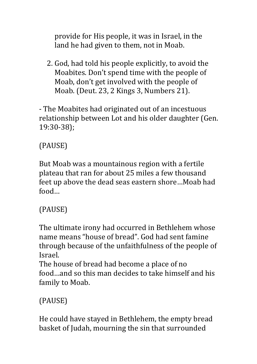provide for His people, it was in Israel, in the land he had given to them, not in Moab.

2. God, had told his people explicitly, to avoid the Moabites. Don't spend time with the people of Moab, don't get involved with the people of Moab. (Deut. 23, 2 Kings 3, Numbers 21).

- The Moabites had originated out of an incestuous relationship between Lot and his older daughter (Gen. 19:30-38); 

# (PAUSE)

But Moab was a mountainous region with a fertile plateau that ran for about 25 miles a few thousand feet up above the dead seas eastern shore...Moab had food…

# (PAUSE)

The ultimate irony had occurred in Bethlehem whose name means "house of bread". God had sent famine through because of the unfaithfulness of the people of Israel. 

The house of bread had become a place of no food …and so this man decides to take himself and his family to Moab.

# (PAUSE)

He could have stayed in Bethlehem, the empty bread basket of Judah, mourning the sin that surrounded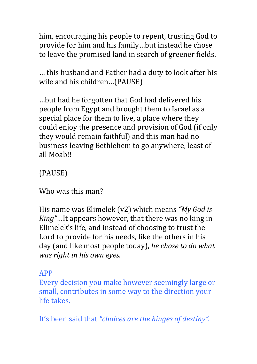him, encouraging his people to repent, trusting God to provide for him and his family...but instead he chose to leave the promised land in search of greener fields.

... this husband and Father had a duty to look after his wife and his children...(PAUSE)

...but had he forgotten that God had delivered his people from Egypt and brought them to Israel as a special place for them to live, a place where they could enjoy the presence and provision of God (if only they would remain faithful) and this man had no business leaving Bethlehem to go anywhere, least of all Moah!!

(PAUSE)

Who was this man?

His name was Elimelek (v2) which means "My God is *King"*…It appears however, that there was no king in Elimelek's life, and instead of choosing to trust the Lord to provide for his needs, like the others in his day (and like most people today), *he chose to do what was right in his own eyes.* 

### APP

Every decision you make however seemingly large or small, contributes in some way to the direction your life takes

It's been said that "*choices are the hinges of destiny*".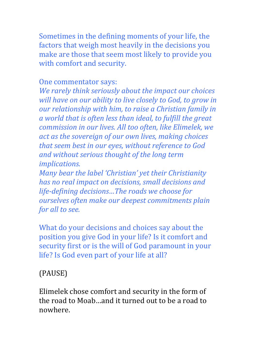Sometimes in the defining moments of your life, the factors that weigh most heavily in the decisions you make are those that seem most likely to provide you with comfort and security.

#### One commentator says:

*We rarely think seriously about the impact our choices* will have on our ability to live closely to God, to grow in *our relationship with him, to raise a Christian family in* a world that is often less than ideal, to fulfill the great *commission in our lives. All too often, like Elimelek, we* act as the sovereign of our own lives, making choices that seem best in our eyes, without reference to God and without serious thought of the long term *implications.* 

*Many bear the label 'Christian' yet their Christianity has no real impact on decisions, small decisions and life-defining decisions...The roads we choose for ourselves often make our deepest commitments plain for all to see.* 

What do your decisions and choices say about the position you give God in your life? Is it comfort and security first or is the will of God paramount in your life? Is God even part of your life at all?

### (PAUSE)

Elimelek chose comfort and security in the form of the road to Moab—and it turned out to be a road to nowhere.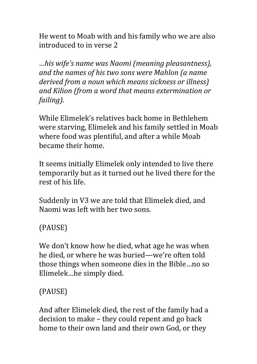He went to Moab with and his family who we are also introduced to in verse 2

*…his wife's name was Naomi (meaning pleasantness), and the names of his two sons were Mahlon (a name* derived from a noun which means sickness or illness) and Kilion (from a word that means extermination or *failing).*

While Elimelek's relatives back home in Bethlehem were starving, Elimelek and his family settled in Moab where food was plentiful, and after a while Moab became their home.

It seems initially Elimelek only intended to live there temporarily but as it turned out he lived there for the rest of his life.

Suddenly in V3 we are told that Elimelek died, and Naomi was left with her two sons.

(PAUSE)

We don't know how he died, what age he was when he died, or where he was buried—we're often told those things when someone dies in the Bible...no so Elimelek...he simply died.

(PAUSE)

And after Elimelek died, the rest of the family had a decision to make  $-$  they could repent and go back home to their own land and their own God, or they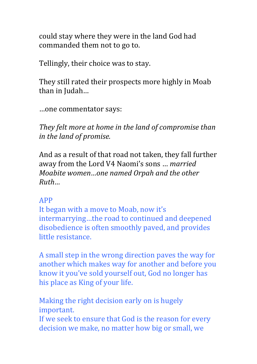could stay where they were in the land God had commanded them not to go to.

Tellingly, their choice was to stay.

They still rated their prospects more highly in Moab than in Judah...

…one commentator says:

They felt more at home in the land of compromise than *in the land of promise.* 

And as a result of that road not taken, they fall further away from the Lord V4 Naomi's sons ... *married Moabite* women...one named Orpah and the other *Ruth…*

### APP

It began with a move to Moab, now it's intermarrying...the road to continued and deepened disobedience is often smoothly paved, and provides little resistance

A small step in the wrong direction paves the way for another which makes way for another and before you know it you've sold yourself out, God no longer has his place as King of your life.

Making the right decision early on is hugely important.

If we seek to ensure that God is the reason for every decision we make, no matter how big or small, we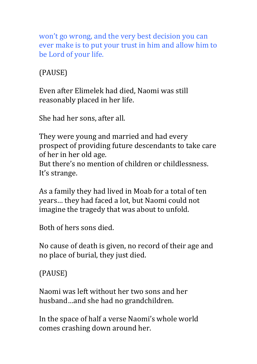won't go wrong, and the very best decision you can ever make is to put your trust in him and allow him to be Lord of your life.

(PAUSE)

Even after Elimelek had died, Naomi was still reasonably placed in her life.

She had her sons, after all.

They were young and married and had every prospect of providing future descendants to take care of her in her old age. But there's no mention of children or childlessness. It's strange.

As a family they had lived in Moab for a total of ten years... they had faced a lot, but Naomi could not imagine the tragedy that was about to unfold.

Both of hers sons died.

No cause of death is given, no record of their age and no place of burial, they just died.

(PAUSE)

Naomi was left without her two sons and her husband…and she had no grandchildren.

In the space of half a verse Naomi's whole world comes crashing down around her.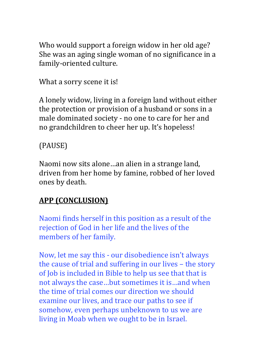Who would support a foreign widow in her old age? She was an aging single woman of no significance in a family-oriented culture.

What a sorry scene it is!

A lonely widow, living in a foreign land without either the protection or provision of a husband or sons in a male dominated society - no one to care for her and no grandchildren to cheer her up. It's hopeless!

# (PAUSE)

Naomi now sits alone...an alien in a strange land, driven from her home by famine, robbed of her loved ones by death.

# **APP (CONCLUSION)**

Naomi finds herself in this position as a result of the rejection of God in her life and the lives of the members of her family.

Now, let me say this - our disobedience isn't always the cause of trial and suffering in our lives  $-$  the story of Job is included in Bible to help us see that that is not always the case...but sometimes it is...and when the time of trial comes our direction we should examine our lives, and trace our paths to see if somehow, even perhaps unbeknown to us we are living in Moab when we ought to be in Israel.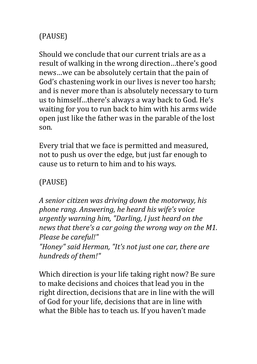# (PAUSE)

Should we conclude that our current trials are as a result of walking in the wrong direction...there's good news...we can be absolutely certain that the pain of God's chastening work in our lives is never too harsh; and is never more than is absolutely necessary to turn us to himself...there's always a way back to God. He's waiting for you to run back to him with his arms wide open just like the father was in the parable of the lost son. 

Every trial that we face is permitted and measured, not to push us over the edge, but just far enough to cause us to return to him and to his ways.

### (PAUSE)

A senior citizen was driving down the motorway, his *phone rang. Answering, he heard his wife's voice urgently warning him, "Darling, I just heard on the* news that there's a car going the wrong way on the M1. Please be careful!" *"Honey" said Herman, "It's not just one car, there are* hundreds of them!"

Which direction is your life taking right now? Be sure to make decisions and choices that lead you in the right direction, decisions that are in line with the will of God for your life, decisions that are in line with what the Bible has to teach us. If you haven't made